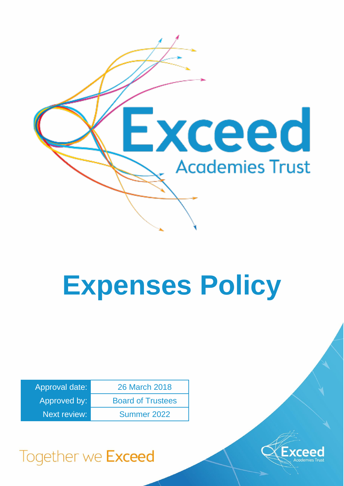

# **Expenses Policy**

| Approval date:      | 26 March 2018            |
|---------------------|--------------------------|
| Approved by:        | <b>Board of Trustees</b> |
| <b>Next review:</b> | Summer 2022              |



## Together we Exceed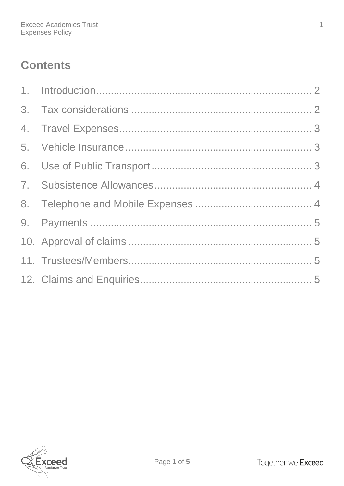### **Contents**

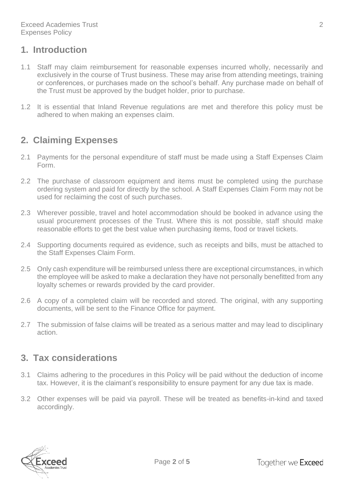#### <span id="page-2-0"></span>**1. Introduction**

- 1.1 Staff may claim reimbursement for reasonable expenses incurred wholly, necessarily and exclusively in the course of Trust business. These may arise from attending meetings, training or conferences, or purchases made on the school's behalf. Any purchase made on behalf of the Trust must be approved by the budget holder, prior to purchase.
- 1.2 It is essential that Inland Revenue regulations are met and therefore this policy must be adhered to when making an expenses claim.

#### **2. Claiming Expenses**

- 2.1 Payments for the personal expenditure of staff must be made using a Staff Expenses Claim Form.
- 2.2 The purchase of classroom equipment and items must be completed using the purchase ordering system and paid for directly by the school. A Staff Expenses Claim Form may not be used for reclaiming the cost of such purchases.
- 2.3 Wherever possible, travel and hotel accommodation should be booked in advance using the usual procurement processes of the Trust. Where this is not possible, staff should make reasonable efforts to get the best value when purchasing items, food or travel tickets.
- 2.4 Supporting documents required as evidence, such as receipts and bills, must be attached to the Staff Expenses Claim Form.
- 2.5 Only cash expenditure will be reimbursed unless there are exceptional circumstances, in which the employee will be asked to make a declaration they have not personally benefitted from any loyalty schemes or rewards provided by the card provider.
- 2.6 A copy of a completed claim will be recorded and stored. The original, with any supporting documents, will be sent to the Finance Office for payment.
- 2.7 The submission of false claims will be treated as a serious matter and may lead to disciplinary action.

#### <span id="page-2-1"></span>**3. Tax considerations**

- 3.1 Claims adhering to the procedures in this Policy will be paid without the deduction of income tax. However, it is the claimant's responsibility to ensure payment for any due tax is made.
- 3.2 Other expenses will be paid via payroll. These will be treated as benefits-in-kind and taxed accordingly.

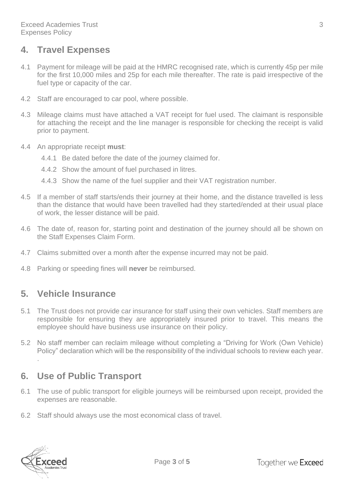#### <span id="page-3-0"></span>**4. Travel Expenses**

- 4.1 Payment for mileage will be paid at the HMRC recognised rate, which is currently 45p per mile for the first 10,000 miles and 25p for each mile thereafter. The rate is paid irrespective of the fuel type or capacity of the car.
- 4.2 Staff are encouraged to car pool, where possible.
- 4.3 Mileage claims must have attached a VAT receipt for fuel used. The claimant is responsible for attaching the receipt and the line manager is responsible for checking the receipt is valid prior to payment.
- 4.4 An appropriate receipt **must**:
	- 4.4.1 Be dated before the date of the journey claimed for.
	- 4.4.2 Show the amount of fuel purchased in litres.
	- 4.4.3 Show the name of the fuel supplier and their VAT registration number.
- 4.5 If a member of staff starts/ends their journey at their home, and the distance travelled is less than the distance that would have been travelled had they started/ended at their usual place of work, the lesser distance will be paid.
- 4.6 The date of, reason for, starting point and destination of the journey should all be shown on the Staff Expenses Claim Form.
- 4.7 Claims submitted over a month after the expense incurred may not be paid.
- 4.8 Parking or speeding fines will **never** be reimbursed.

#### <span id="page-3-1"></span>**5. Vehicle Insurance**

- 5.1 The Trust does not provide car insurance for staff using their own vehicles. Staff members are responsible for ensuring they are appropriately insured prior to travel. This means the employee should have business use insurance on their policy.
- 5.2 No staff member can reclaim mileage without completing a "Driving for Work (Own Vehicle) Policy" declaration which will be the responsibility of the individual schools to review each year.

#### <span id="page-3-2"></span>**6. Use of Public Transport**

- 6.1 The use of public transport for eligible journeys will be reimbursed upon receipt, provided the expenses are reasonable.
- 6.2 Staff should always use the most economical class of travel.



.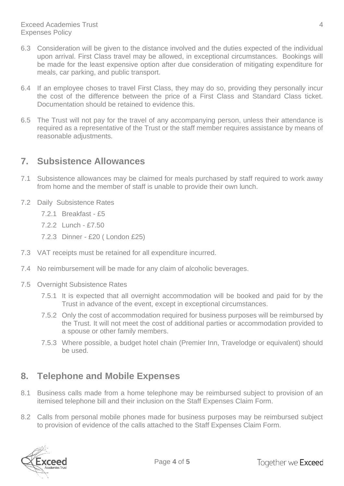- 6.3 Consideration will be given to the distance involved and the duties expected of the individual upon arrival. First Class travel may be allowed, in exceptional circumstances. Bookings will be made for the least expensive option after due consideration of mitigating expenditure for meals, car parking, and public transport.
- 6.4 If an employee choses to travel First Class, they may do so, providing they personally incur the cost of the difference between the price of a First Class and Standard Class ticket. Documentation should be retained to evidence this.
- 6.5 The Trust will not pay for the travel of any accompanying person, unless their attendance is required as a representative of the Trust or the staff member requires assistance by means of reasonable adjustments.

#### <span id="page-4-0"></span>**7. Subsistence Allowances**

- 7.1 Subsistence allowances may be claimed for meals purchased by staff required to work away from home and the member of staff is unable to provide their own lunch.
- 7.2 Daily Subsistence Rates
	- 7.2.1 Breakfast £5
	- 7.2.2 Lunch £7.50
	- 7.2.3 Dinner £20 ( London £25)
- 7.3 VAT receipts must be retained for all expenditure incurred.
- 7.4 No reimbursement will be made for any claim of alcoholic beverages.
- 7.5 Overnight Subsistence Rates
	- 7.5.1 It is expected that all overnight accommodation will be booked and paid for by the Trust in advance of the event, except in exceptional circumstances.
	- 7.5.2 Only the cost of accommodation required for business purposes will be reimbursed by the Trust. It will not meet the cost of additional parties or accommodation provided to a spouse or other family members.
	- 7.5.3 Where possible, a budget hotel chain (Premier Inn, Travelodge or equivalent) should be used.

#### <span id="page-4-1"></span>**8. Telephone and Mobile Expenses**

- 8.1 Business calls made from a home telephone may be reimbursed subject to provision of an itemised telephone bill and their inclusion on the Staff Expenses Claim Form.
- 8.2 Calls from personal mobile phones made for business purposes may be reimbursed subject to provision of evidence of the calls attached to the Staff Expenses Claim Form.